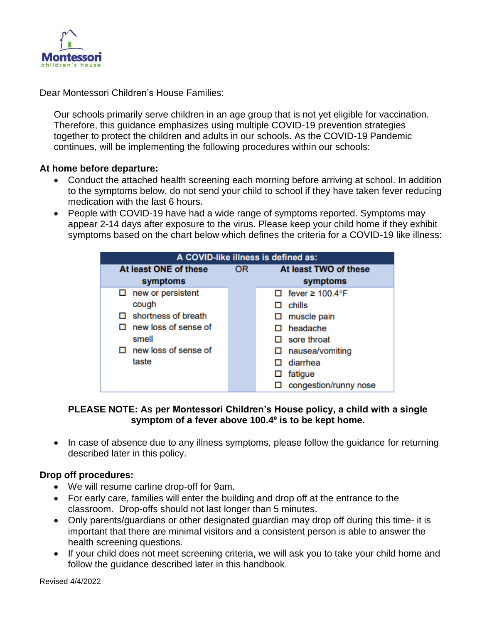

Dear Montessori Children's House Families:

Our schools primarily serve children in an age group that is not yet eligible for vaccination. Therefore, this guidance emphasizes using multiple COVID-19 prevention strategies together to protect the children and adults in our schools. As the COVID-19 Pandemic continues, will be implementing the following procedures within our schools:

#### **At home before departure:**

- Conduct the attached health screening each morning before arriving at school. In addition to the symptoms below, do not send your child to school if they have taken fever reducing medication with the last 6 hours.
- People with COVID-19 have had a wide range of symptoms reported. Symptoms may appear 2-14 days after exposure to the virus. Please keep your child home if they exhibit symptoms based on the chart below which defines the criteria for a COVID-19 like illness:

| A COVID-like illness is defined as: |           |                             |
|-------------------------------------|-----------|-----------------------------|
| At least ONE of these               | <b>OR</b> | At least TWO of these       |
| symptoms                            |           | symptoms                    |
| new or persistent<br>□              |           | $\Box$ fever $\geq$ 100.4°F |
| cough                               |           | chills<br>П                 |
| shortness of breath                 |           | $\Box$ muscle pain          |
| new loss of sense of                |           | $\Box$ headache             |
| smell                               |           | $\Box$ sore throat          |
| new loss of sense of                |           | $\Box$ nausea/vomiting      |
| taste                               |           | diarrhea<br>п               |
|                                     |           | fatigue<br>ப                |
|                                     |           | congestion/runny nose       |

#### **PLEASE NOTE: As per Montessori Children's House policy, a child with a single symptom of a fever above 100.4⁰ is to be kept home.**

• In case of absence due to any illness symptoms, please follow the guidance for returning described later in this policy.

#### **Drop off procedures:**

- We will resume carline drop-off for 9am.
- For early care, families will enter the building and drop off at the entrance to the classroom. Drop-offs should not last longer than 5 minutes.
- Only parents/guardians or other designated guardian may drop off during this time- it is important that there are minimal visitors and a consistent person is able to answer the health screening questions.
- If your child does not meet screening criteria, we will ask you to take your child home and follow the guidance described later in this handbook.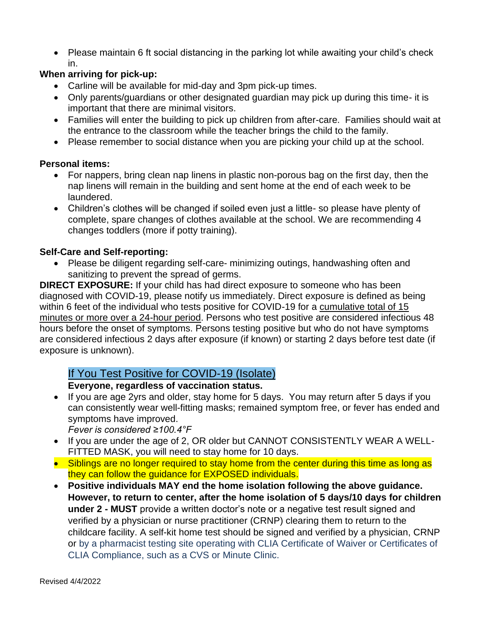• Please maintain 6 ft social distancing in the parking lot while awaiting your child's check in.

# **When arriving for pick-up:**

- Carline will be available for mid-day and 3pm pick-up times.
- Only parents/guardians or other designated guardian may pick up during this time- it is important that there are minimal visitors.
- Families will enter the building to pick up children from after-care. Families should wait at the entrance to the classroom while the teacher brings the child to the family.
- Please remember to social distance when you are picking your child up at the school.

#### **Personal items:**

- For nappers, bring clean nap linens in plastic non-porous bag on the first day, then the nap linens will remain in the building and sent home at the end of each week to be laundered.
- Children's clothes will be changed if soiled even just a little- so please have plenty of complete, spare changes of clothes available at the school. We are recommending 4 changes toddlers (more if potty training).

## **Self-Care and Self-reporting:**

• Please be diligent regarding self-care- minimizing outings, handwashing often and sanitizing to prevent the spread of germs.

**DIRECT EXPOSURE:** If your child has had direct exposure to someone who has been diagnosed with COVID-19, please notify us immediately. Direct exposure is defined as being within 6 feet of the individual who tests positive for COVID-19 for a cumulative total of 15 minutes or more over a 24-hour period. Persons who test positive are considered infectious 48 hours before the onset of symptoms. Persons testing positive but who do not have symptoms are considered infectious 2 days after exposure (if known) or starting 2 days before test date (if exposure is unknown).

# If You Test Positive for COVID-19 (Isolate)

#### **Everyone, regardless of vaccination status.**

- If you are age 2yrs and older, stay home for 5 days. You may return after 5 days if you can consistently wear well-fitting masks; remained symptom free, or fever has ended and symptoms have improved.
	- *Fever is considered ≥100.4°F*
- If you are under the age of 2, OR older but CANNOT CONSISTENTLY WEAR A WELL-FITTED MASK, you will need to stay home for 10 days.
- Siblings are no longer required to stay home from the center during this time as long as they can follow the guidance for EXPOSED individuals.
- **Positive individuals MAY end the home isolation following the above guidance. However, to return to center, after the home isolation of 5 days/10 days for children under 2 - MUST** provide a written doctor's note or a negative test result signed and verified by a physician or nurse practitioner (CRNP) clearing them to return to the childcare facility. A self-kit home test should be signed and verified by a physician, CRNP or by a pharmacist testing site operating with CLIA Certificate of Waiver or Certificates of CLIA Compliance, such as a CVS or Minute Clinic.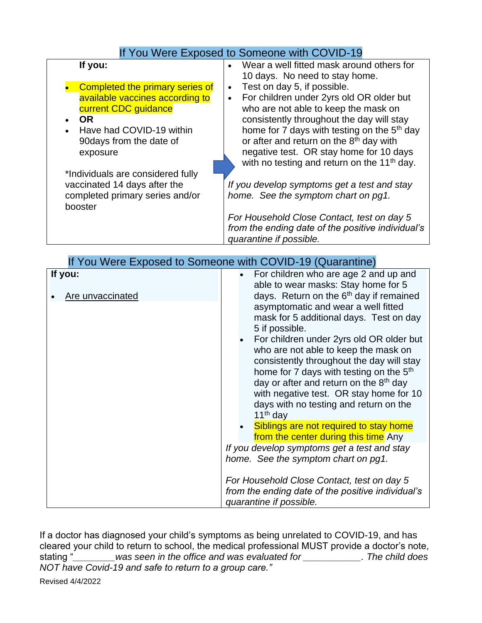# If You Were Exposed to Someone with COVID-19

| If you:                           | Wear a well fitted mask around others for<br>$\bullet$<br>10 days. No need to stay home. |
|-----------------------------------|------------------------------------------------------------------------------------------|
| Completed the primary series of   | Test on day 5, if possible.<br>$\bullet$                                                 |
| available vaccines according to   | For children under 2yrs old OR older but<br>$\bullet$                                    |
| current CDC quidance              | who are not able to keep the mask on                                                     |
| <b>OR</b>                         | consistently throughout the day will stay                                                |
| Have had COVID-19 within          | home for 7 days with testing on the 5 <sup>th</sup> day                                  |
| 90 days from the date of          | or after and return on the 8 <sup>th</sup> day with                                      |
| exposure                          | negative test. OR stay home for 10 days                                                  |
|                                   | with no testing and return on the 11 <sup>th</sup> day.                                  |
| *Individuals are considered fully |                                                                                          |
| vaccinated 14 days after the      | If you develop symptoms get a test and stay                                              |
| completed primary series and/or   | home. See the symptom chart on pg1.                                                      |
| booster                           |                                                                                          |
|                                   | For Household Close Contact, test on day 5                                               |
|                                   | from the ending date of the positive individual's<br>quarantine if possible.             |

| If You Were Exposed to Someone with COVID-19 (Quarantine) |                                                                                                                                                                                                                                                                                                                                                                                                                                              |  |
|-----------------------------------------------------------|----------------------------------------------------------------------------------------------------------------------------------------------------------------------------------------------------------------------------------------------------------------------------------------------------------------------------------------------------------------------------------------------------------------------------------------------|--|
| If you:<br>Are unvaccinated                               | For children who are age 2 and up and<br>$\bullet$<br>able to wear masks: Stay home for 5<br>days. Return on the 6 <sup>th</sup> day if remained<br>asymptomatic and wear a well fitted<br>mask for 5 additional days. Test on day<br>5 if possible.<br>For children under 2yrs old OR older but<br>who are not able to keep the mask on<br>consistently throughout the day will stay<br>home for 7 days with testing on the 5 <sup>th</sup> |  |
|                                                           | day or after and return on the 8 <sup>th</sup> day<br>with negative test. OR stay home for 10<br>days with no testing and return on the                                                                                                                                                                                                                                                                                                      |  |
|                                                           | $11th$ day<br>Siblings are not required to stay home<br>from the center during this time Any                                                                                                                                                                                                                                                                                                                                                 |  |
|                                                           | If you develop symptoms get a test and stay<br>home. See the symptom chart on pg1.                                                                                                                                                                                                                                                                                                                                                           |  |
|                                                           | For Household Close Contact, test on day 5<br>from the ending date of the positive individual's<br>quarantine if possible.                                                                                                                                                                                                                                                                                                                   |  |

If a doctor has diagnosed your child's symptoms as being unrelated to COVID-19, and has cleared your child to return to school, the medical professional MUST provide a doctor's note, stating "*\_\_\_\_\_\_\_\_was seen in the office and was evaluated for \_\_\_\_\_\_\_\_\_\_\_. The child does NOT have Covid-19 and safe to return to a group care."*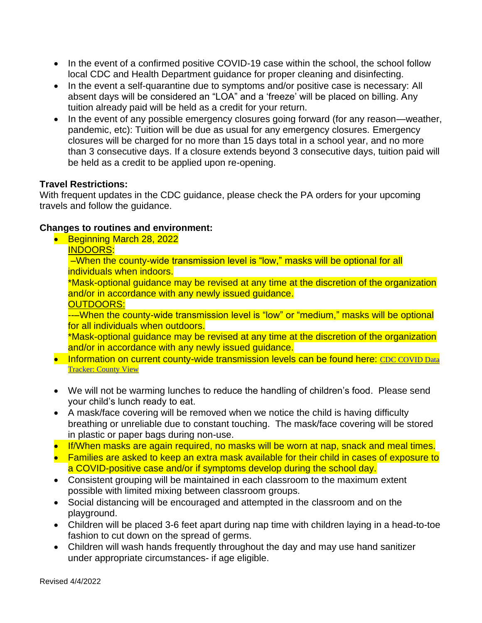- In the event of a confirmed positive COVID-19 case within the school, the school follow local CDC and Health Department guidance for proper cleaning and disinfecting.
- In the event a self-quarantine due to symptoms and/or positive case is necessary: All absent days will be considered an "LOA" and a 'freeze' will be placed on billing. Any tuition already paid will be held as a credit for your return.
- In the event of any possible emergency closures going forward (for any reason—weather, pandemic, etc): Tuition will be due as usual for any emergency closures. Emergency closures will be charged for no more than 15 days total in a school year, and no more than 3 consecutive days. If a closure extends beyond 3 consecutive days, tuition paid will be held as a credit to be applied upon re-opening.

#### **Travel Restrictions:**

With frequent updates in the CDC guidance, please check the PA orders for your upcoming travels and follow the guidance.

#### **Changes to routines and environment:**

• Beginning March 28, 2022

INDOORS:

–When the county-wide transmission level is "low," masks will be optional for all individuals when indoors.

\*Mask-optional guidance may be revised at any time at the discretion of the organization and/or in accordance with any newly issued guidance.

#### OUTDOORS:

---When the county-wide transmission level is "low" or "medium," masks will be optional for all individuals when outdoors.

\*Mask-optional guidance may be revised at any time at the discretion of the organization and/or in accordance with any newly issued guidance.

- Information on current county-wide transmission levels can be found here: CDC COVID Data [Tracker: County View](https://covid.cdc.gov/covid-data-tracker/#county-view?list_select_state=Pennsylvania&data-type=CommunityLevels&list_select_county=42091)
- We will not be warming lunches to reduce the handling of children's food. Please send your child's lunch ready to eat.
- A mask/face covering will be removed when we notice the child is having difficulty breathing or unreliable due to constant touching. The mask/face covering will be stored in plastic or paper bags during non-use.
- If/When masks are again required, no masks will be worn at nap, snack and meal times.
- Families are asked to keep an extra mask available for their child in cases of exposure to a COVID-positive case and/or if symptoms develop during the school day.
- Consistent grouping will be maintained in each classroom to the maximum extent possible with limited mixing between classroom groups.
- Social distancing will be encouraged and attempted in the classroom and on the playground.
- Children will be placed 3-6 feet apart during nap time with children laying in a head-to-toe fashion to cut down on the spread of germs.
- Children will wash hands frequently throughout the day and may use hand sanitizer under appropriate circumstances- if age eligible.